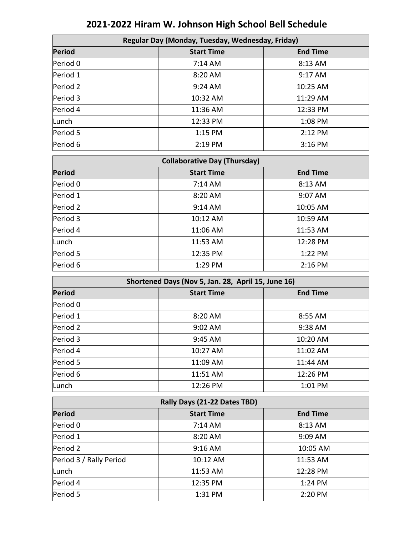| Regular Day (Monday, Tuesday, Wednesday, Friday) |                                                    |                 |  |  |
|--------------------------------------------------|----------------------------------------------------|-----------------|--|--|
| Period                                           | <b>Start Time</b>                                  | <b>End Time</b> |  |  |
| Period 0                                         | 7:14 AM                                            | 8:13 AM         |  |  |
| Period 1                                         | 8:20 AM                                            | 9:17 AM         |  |  |
| Period 2                                         | 9:24 AM                                            | 10:25 AM        |  |  |
| Period 3                                         | 10:32 AM                                           | 11:29 AM        |  |  |
| Period 4                                         | 11:36 AM                                           | 12:33 PM        |  |  |
| Lunch                                            | 12:33 PM                                           | 1:08 PM         |  |  |
| Period 5                                         | 1:15 PM                                            | 2:12 PM         |  |  |
| Period 6                                         | 2:19 PM                                            | 3:16 PM         |  |  |
|                                                  | <b>Collaborative Day (Thursday)</b>                |                 |  |  |
| Period                                           | <b>Start Time</b>                                  | <b>End Time</b> |  |  |
| Period 0                                         | 7:14 AM                                            | 8:13 AM         |  |  |
| Period 1                                         | 8:20 AM                                            | 9:07 AM         |  |  |
| Period 2                                         | 9:14 AM                                            | 10:05 AM        |  |  |
| Period 3                                         | 10:12 AM                                           | 10:59 AM        |  |  |
| Period 4                                         | 11:06 AM                                           | 11:53 AM        |  |  |
| Lunch                                            | 11:53 AM                                           | 12:28 PM        |  |  |
| Period 5                                         | 12:35 PM                                           | 1:22 PM         |  |  |
| Period 6                                         | 1:29 PM                                            | 2:16 PM         |  |  |
|                                                  | Shortened Days (Nov 5, Jan. 28, April 15, June 16) |                 |  |  |

## **2021-2022 Hiram W. Johnson High School Bell Schedule**

| Shortened Days (Nov 5, Jan. 28, April 15, June 16) |                              |                 |  |  |
|----------------------------------------------------|------------------------------|-----------------|--|--|
| <b>Period</b>                                      | <b>Start Time</b>            | <b>End Time</b> |  |  |
| Period 0                                           |                              |                 |  |  |
| Period 1                                           | 8:20 AM                      | 8:55 AM         |  |  |
| Period <sub>2</sub>                                | 9:02 AM                      | 9:38 AM         |  |  |
| Period 3                                           | 9:45 AM                      | 10:20 AM        |  |  |
| Period 4                                           | 10:27 AM                     | 11:02 AM        |  |  |
| Period 5                                           | 11:09 AM                     | 11:44 AM        |  |  |
| Period 6                                           | 11:51 AM                     | 12:26 PM        |  |  |
| Lunch                                              | 12:26 PM                     | 1:01 PM         |  |  |
|                                                    | Rally Days (21-22 Dates TBD) |                 |  |  |
| <b>Period</b>                                      | <b>Start Time</b>            | <b>End Time</b> |  |  |
| Period 0                                           | $7:14$ AM                    | 8:13 AM         |  |  |
| Period 1                                           | 8:20 AM                      | 9:09 AM         |  |  |
| Period 2                                           | 9:16 AM                      | 10:05 AM        |  |  |
| Period 3 / Rally Period                            | 10:12 AM                     | 11:53 AM        |  |  |
| Lunch                                              | 11:53 AM                     | 12:28 PM        |  |  |
| Period 4                                           | 12:35 PM                     | 1:24 PM         |  |  |
| Period 5                                           | 1:31 PM                      | 2:20 PM         |  |  |